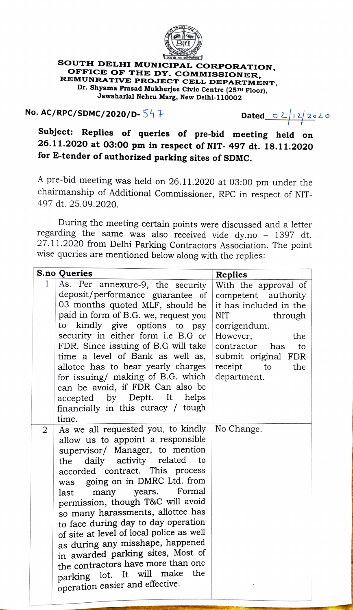

## soUTH DELHI MUNICIPAL CORPORATION, OFFICE OF THE DY. COMMISSIONER, REMUNRATIVE PROJECT CELL DEPARTMENT, Dr. Shyama Prasad Mukherjee Civic Centre (25TH Floor), Jawaharlal Nehru Marg, New Delhi-110002

## No. AC/RPC/SDMC/2020/D-  $54+$  Dated  $\frac{02+22020}{0.28}$

Subject: Replies of queries of pre-bid meeting held on 26.11.2020 at 03:00 pm in respect of NIT- 497 dt. 18.11.2020 for E-tender of authorized parking sites of SDMC.

A pre-bid meeting was held on 26.11.2020 at 03:00 pm under the chairmanship of Additional Commissioner, RPC in respect of NIT-497 dt. 25.09.2020.

During the meeting certain points were discussed and a letter regarding the same was also received vide dy.no - 1397 dt. 27.11.2020 from Delhi Parking Contractors Association. The point wise queries are mentioned below along with the replies:

|                | <b>S.no Queries</b>                                                                                                                                                                                                                                                                                                                                                                                                                                                                                                                                                                                     | <b>Replies</b>                                                                                                                                                                                                                |
|----------------|---------------------------------------------------------------------------------------------------------------------------------------------------------------------------------------------------------------------------------------------------------------------------------------------------------------------------------------------------------------------------------------------------------------------------------------------------------------------------------------------------------------------------------------------------------------------------------------------------------|-------------------------------------------------------------------------------------------------------------------------------------------------------------------------------------------------------------------------------|
| 1              | As. Per annexure-9, the security<br>deposit/performance guarantee of<br>03 months quoted MLF, should be<br>paid in form of B.G. we, request you<br>to kindly give options to pay<br>security in either form i.e B.G or<br>FDR. Since issuing of B.G will take<br>time a level of Bank as well as,<br>allotee has to bear yearly charges<br>for issuing/ making of B.G. which<br>can be avoid, if FDR Can also be<br>accepted by Deptt. It helps<br>financially in this curacy / tough<br>time.                                                                                                          | With the approval of<br>competent authority<br>it has included in the<br><b>NIT</b><br>through<br>corrigendum.<br>However,<br>the<br>contractor<br>has<br>to<br>submit original<br>FDR<br>receipt<br>to<br>the<br>department. |
| $\overline{2}$ | As we all requested you, to kindly<br>allow us to appoint a responsible<br>supervisor/ Manager, to mention<br>daily activity related<br>to<br>the<br>accorded contract. This process<br>was going on in DMRC Ltd. from<br>years. Formal<br>many<br>last<br>permission, though T&C will avoid<br>so many harassments, allottee has<br>to face during day to day operation<br>of site at level of local police as well<br>as during any misshape, happened<br>in awarded parking sites, Most of<br>the contractors have more than one<br>parking lot. It will make the<br>operation easier and effective. | No Change.                                                                                                                                                                                                                    |